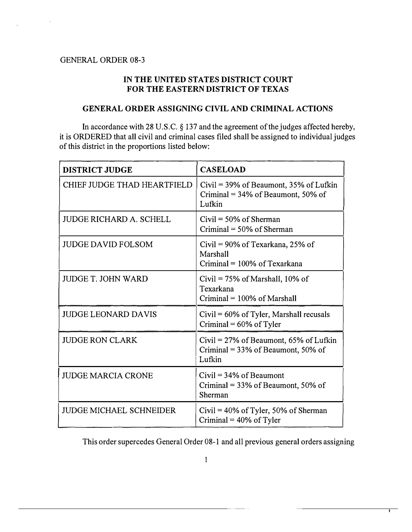$\bar{z}$ 

## IN THE UNITED STATES DISTRICT COURT FOR THE EASTERN DISTRICT OF TEXAS

## GENERAL ORDER ASSIGNING CIVIL AND CRIMINAL ACTIONS

In accordance with 28 U.S.C. § 137 and the agreement of the judges affected hereby, it is ORDERED that all civil and criminal cases filed shall be assigned to individual judges of this district in the proportions listed below:

| <b>DISTRICT JUDGE</b>          | <b>CASELOAD</b>                                                                                    |
|--------------------------------|----------------------------------------------------------------------------------------------------|
| CHIEF JUDGE THAD HEARTFIELD    | Civil = $39\%$ of Beaumont, $35\%$ of Lufkin<br>Criminal = $34\%$ of Beaumont, $50\%$ of<br>Lufkin |
| <b>JUDGE RICHARD A. SCHELL</b> | $Civil = 50\%$ of Sherman<br>Criminal $=$ 50% of Sherman                                           |
| <b>JUDGE DAVID FOLSOM</b>      | Civil = $90\%$ of Texarkana, 25% of<br>Marshall<br>Criminal $= 100\%$ of Texarkana                 |
| <b>JUDGE T. JOHN WARD</b>      | Civil = $75\%$ of Marshall, 10% of<br>Texarkana<br>Criminal $= 100\%$ of Marshall                  |
| <b>JUDGE LEONARD DAVIS</b>     | Civil = 60% of Tyler, Marshall recusals<br>Criminal = $60\%$ of Tyler                              |
| <b>JUDGE RON CLARK</b>         | Civil = $27\%$ of Beaumont, 65% of Lufkin<br>Criminal = $33\%$ of Beaumont, 50% of<br>Lufkin       |
| <b>JUDGE MARCIA CRONE</b>      | $Civil = 34\%$ of Beaumont<br>Criminal = $33\%$ of Beaumont, $50\%$ of<br>Sherman                  |
| <b>JUDGE MICHAEL SCHNEIDER</b> | Civil = $40\%$ of Tyler, 50% of Sherman<br>Criminal = $40\%$ of Tyler                              |

This order supercedes General Order 08-1 and all previous general orders assigning